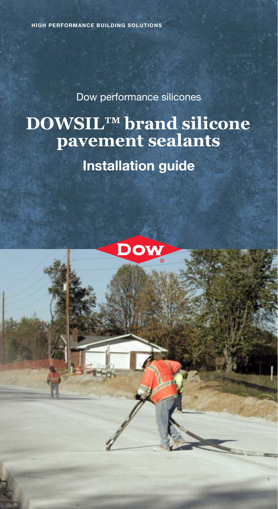Dow performance silicones

# **DOWSIL™ brand silicone pavement sealants** Installation guide

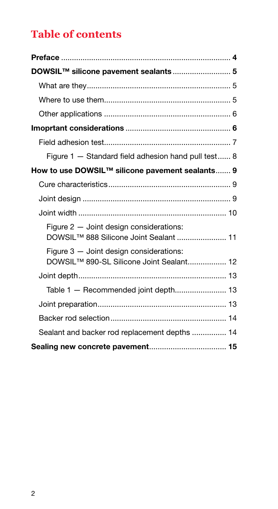### **Table of contents**

| DOWSIL™ silicone pavement sealants 5                                                            |  |
|-------------------------------------------------------------------------------------------------|--|
|                                                                                                 |  |
|                                                                                                 |  |
|                                                                                                 |  |
|                                                                                                 |  |
|                                                                                                 |  |
| Figure 1 - Standard field adhesion hand pull test 8                                             |  |
| How to use DOWSIL™ silicone pavement sealants 9                                                 |  |
|                                                                                                 |  |
|                                                                                                 |  |
|                                                                                                 |  |
| Figure 2 - Joint design considerations:<br>DOWSIL™ 888 Silicone Joint Sealant  11               |  |
| Figure 3 - Joint design considerations:<br>DOWSIL <sup>™</sup> 890-SL Silicone Joint Sealant 12 |  |
|                                                                                                 |  |
|                                                                                                 |  |
|                                                                                                 |  |
|                                                                                                 |  |
| Sealant and backer rod replacement depths  14                                                   |  |
|                                                                                                 |  |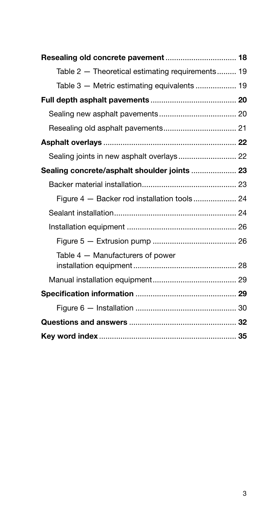| Table 2 - Theoretical estimating requirements 19 |  |
|--------------------------------------------------|--|
| Table 3 - Metric estimating equivalents  19      |  |
|                                                  |  |
|                                                  |  |
|                                                  |  |
|                                                  |  |
| Sealing joints in new asphalt overlays 22        |  |
|                                                  |  |
|                                                  |  |
|                                                  |  |
|                                                  |  |
|                                                  |  |
|                                                  |  |
| Table 4 - Manufacturers of power                 |  |
|                                                  |  |
|                                                  |  |
|                                                  |  |
|                                                  |  |
|                                                  |  |
|                                                  |  |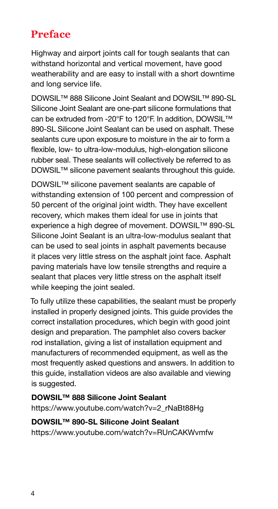### **Preface**

Highway and airport joints call for tough sealants that can withstand horizontal and vertical movement, have good weatherability and are easy to install with a short downtime and long service life.

DOWSIL™ 888 Silicone Joint Sealant and DOWSIL™ 890-SL Silicone Joint Sealant are one-part silicone formulations that can be extruded from -20°F to 120°F. In addition, DOWSIL™ 890-SL Silicone Joint Sealant can be used on asphalt. These sealants cure upon exposure to moisture in the air to form a flexible, low- to ultra-low-modulus, high-elongation silicone rubber seal. These sealants will collectively be referred to as DOWSIL<sup>™</sup> silicone pavement sealants throughout this guide.

DOWSIL™ silicone pavement sealants are capable of withstanding extension of 100 percent and compression of 50 percent of the original joint width. They have excellent recovery, which makes them ideal for use in joints that experience a high degree of movement. DOWSIL™ 890-SL Silicone Joint Sealant is an ultra-low-modulus sealant that can be used to seal joints in asphalt pavements because it places very little stress on the asphalt joint face. Asphalt paving materials have low tensile strengths and require a sealant that places very little stress on the asphalt itself while keeping the joint sealed.

To fully utilize these capabilities, the sealant must be properly installed in properly designed joints. This guide provides the correct installation procedures, which begin with good joint design and preparation. The pamphlet also covers backer rod installation, giving a list of installation equipment and manufacturers of recommended equipment, as well as the most frequently asked questions and answers. In addition to this guide, installation videos are also available and viewing is suggested.

### DOWSIL™ 888 Silicone Joint Sealant

[https://www.youtube.com/watch?v=2\\_rNaBt88Hg](https://www.youtube.com/watch?v=2_rNaBt88Hg ) 

#### DOWSIL™ 890-SL Silicone Joint Sealant

<https://www.youtube.com/watch?v=RUnCAKWvmfw>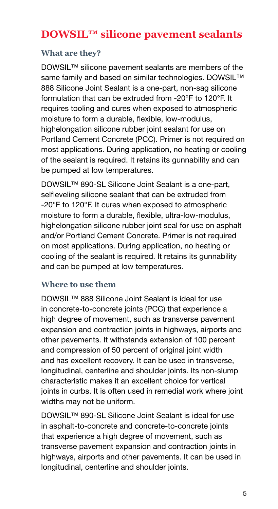### **DOWSIL™ silicone pavement sealants**

#### **What are they?**

DOWSIL™ silicone pavement sealants are members of the same family and based on similar technologies. DOWSIL<sup>™</sup> 888 Silicone Joint Sealant is a one-part, non-sag silicone formulation that can be extruded from -20°F to 120°F. It requires tooling and cures when exposed to atmospheric moisture to form a durable, flexible, low-modulus, highelongation silicone rubber joint sealant for use on Portland Cement Concrete (PCC). Primer is not required on most applications. During application, no heating or cooling of the sealant is required. It retains its gunnability and can be pumped at low temperatures.

DOWSIL™ 890-SL Silicone Joint Sealant is a one-part, selfleveling silicone sealant that can be extruded from -20°F to 120°F. It cures when exposed to atmospheric moisture to form a durable, flexible, ultra-low-modulus, highelongation silicone rubber joint seal for use on asphalt and/or Portland Cement Concrete. Primer is not required on most applications. During application, no heating or cooling of the sealant is required. It retains its gunnability and can be pumped at low temperatures.

#### **Where to use them**

DOWSIL™ 888 Silicone Joint Sealant is ideal for use in concrete-to-concrete joints (PCC) that experience a high degree of movement, such as transverse pavement expansion and contraction joints in highways, airports and other pavements. It withstands extension of 100 percent and compression of 50 percent of original joint width and has excellent recovery. It can be used in transverse, longitudinal, centerline and shoulder joints. Its non-slump characteristic makes it an excellent choice for vertical joints in curbs. It is often used in remedial work where joint widths may not be uniform.

DOWSIL™ 890-SL Silicone Joint Sealant is ideal for use in asphalt-to-concrete and concrete-to-concrete joints that experience a high degree of movement, such as transverse pavement expansion and contraction joints in highways, airports and other pavements. It can be used in longitudinal, centerline and shoulder joints.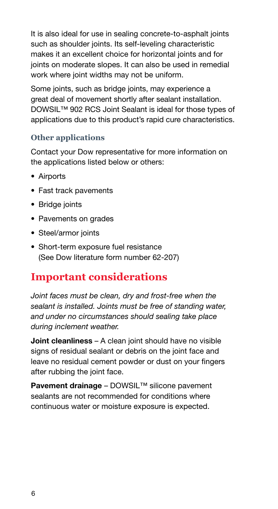It is also ideal for use in sealing concrete-to-asphalt joints such as shoulder joints. Its self-leveling characteristic makes it an excellent choice for horizontal joints and for joints on moderate slopes. It can also be used in remedial work where joint widths may not be uniform.

Some joints, such as bridge joints, may experience a great deal of movement shortly after sealant installation. DOWSIL<sup>™</sup> 902 RCS Joint Sealant is ideal for those types of applications due to this product's rapid cure characteristics.

#### **Other applications**

Contact your Dow representative for more information on the applications listed below or others:

- Airports
- Fast track pavements
- Bridge joints
- Pavements on grades
- Steel/armor joints
- Short-term exposure fuel resistance (See Dow literature form number 62-207)

### **Important considerations**

*Joint faces must be clean, dry and frost-free when the sealant is installed. Joints must be free of standing water, and under no circumstances should sealing take place during inclement weather.*

**Joint cleanliness** – A clean joint should have no visible signs of residual sealant or debris on the joint face and leave no residual cement powder or dust on your fingers after rubbing the joint face.

Pavement drainage – DOWSIL™ silicone pavement sealants are not recommended for conditions where continuous water or moisture exposure is expected.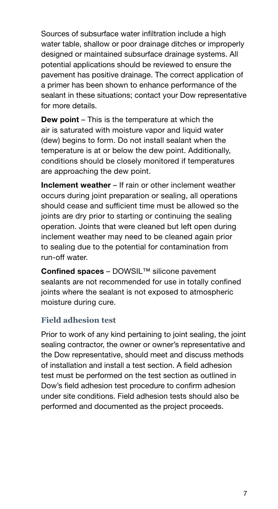Sources of subsurface water infiltration include a high water table, shallow or poor drainage ditches or improperly designed or maintained subsurface drainage systems. All potential applications should be reviewed to ensure the pavement has positive drainage. The correct application of a primer has been shown to enhance performance of the sealant in these situations; contact your Dow representative for more details.

**Dew point** – This is the temperature at which the air is saturated with moisture vapor and liquid water (dew) begins to form. Do not install sealant when the temperature is at or below the dew point. Additionally, conditions should be closely monitored if temperatures are approaching the dew point.

Inclement weather – If rain or other inclement weather occurs during joint preparation or sealing, all operations should cease and sufficient time must be allowed so the joints are dry prior to starting or continuing the sealing operation. Joints that were cleaned but left open during inclement weather may need to be cleaned again prior to sealing due to the potential for contamination from run-off water.

Confined spaces – DOWSIL™ silicone pavement sealants are not recommended for use in totally confined joints where the sealant is not exposed to atmospheric moisture during cure.

#### **Field adhesion test**

Prior to work of any kind pertaining to joint sealing, the joint sealing contractor, the owner or owner's representative and the Dow representative, should meet and discuss methods of installation and install a test section. A field adhesion test must be performed on the test section as outlined in Dow's field adhesion test procedure to confirm adhesion under site conditions. Field adhesion tests should also be performed and documented as the project proceeds.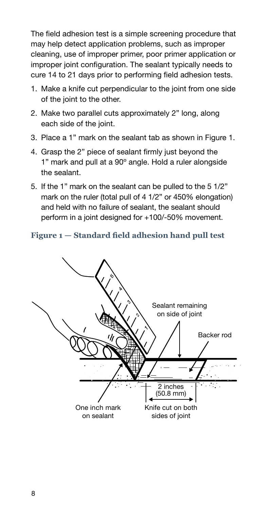The field adhesion test is a simple screening procedure that may help detect application problems, such as improper cleaning, use of improper primer, poor primer application or improper joint configuration. The sealant typically needs to cure 14 to 21 days prior to performing field adhesion tests.

- 1. Make a knife cut perpendicular to the joint from one side of the joint to the other.
- 2. Make two parallel cuts approximately 2" long, along each side of the joint.
- 3. Place a 1" mark on the sealant tab as shown in Figure 1.
- 4. Grasp the 2" piece of sealant firmly just beyond the 1" mark and pull at a 90º angle. Hold a ruler alongside the sealant.
- 5. If the 1" mark on the sealant can be pulled to the 5 1/2" mark on the ruler (total pull of 4 1/2" or 450% elongation) and held with no failure of sealant, the sealant should perform in a joint designed for +100/-50% movement.

#### **Figure 1 — Standard field adhesion hand pull test**

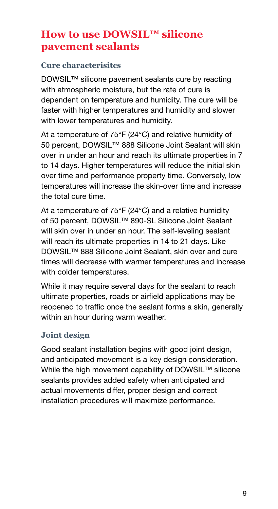### **How to use DOWSIL™ silicone pavement sealants**

#### **Cure characterisitcs**

DOWSIL™ silicone pavement sealants cure by reacting with atmospheric moisture, but the rate of cure is dependent on temperature and humidity. The cure will be faster with higher temperatures and humidity and slower with lower temperatures and humidity.

At a temperature of 75°F (24°C) and relative humidity of 50 percent, DOWSIL™ 888 Silicone Joint Sealant will skin over in under an hour and reach its ultimate properties in 7 to 14 days. Higher temperatures will reduce the initial skin over time and performance property time. Conversely, low temperatures will increase the skin-over time and increase the total cure time.

At a temperature of 75°F (24°C) and a relative humidity of 50 percent, DOWSIL™ 890-SL Silicone Joint Sealant will skin over in under an hour. The self-leveling sealant will reach its ultimate properties in 14 to 21 days. Like DOWSIL™ 888 Silicone Joint Sealant, skin over and cure times will decrease with warmer temperatures and increase with colder temperatures.

While it may require several days for the sealant to reach ultimate properties, roads or airfield applications may be reopened to traffic once the sealant forms a skin, generally within an hour during warm weather.

#### **Joint design**

Good sealant installation begins with good joint design, and anticipated movement is a key design consideration. While the high movement capability of DOWSIL™ silicone sealants provides added safety when anticipated and actual movements differ, proper design and correct installation procedures will maximize performance.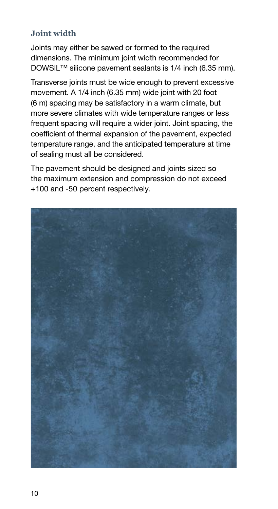#### **Joint width**

Joints may either be sawed or formed to the required dimensions. The minimum joint width recommended for DOWSIL™ silicone pavement sealants is 1/4 inch (6.35 mm).

Transverse joints must be wide enough to prevent excessive movement. A 1/4 inch (6.35 mm) wide joint with 20 foot (6 m) spacing may be satisfactory in a warm climate, but more severe climates with wide temperature ranges or less frequent spacing will require a wider joint. Joint spacing, the coefficient of thermal expansion of the pavement, expected temperature range, and the anticipated temperature at time of sealing must all be considered.

The pavement should be designed and joints sized so the maximum extension and compression do not exceed +100 and -50 percent respectively.

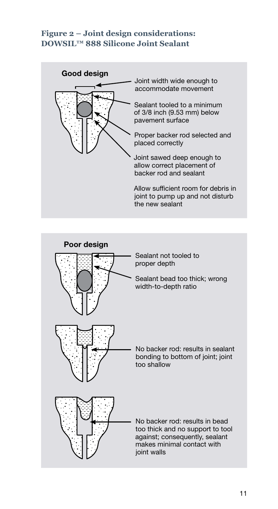#### **Figure 2 – Joint design considerations: DOWSIL™ 888 Silicone Joint Sealant**



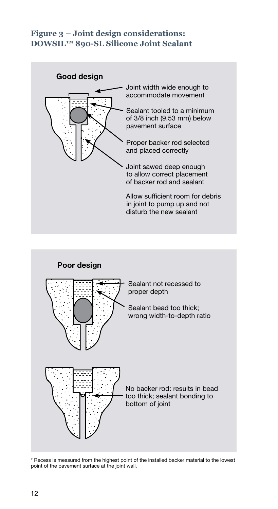#### **Figure 3 – Joint design considerations: DOWSIL™ 890-SL Silicone Joint Sealant**





\* Recess is measured from the highest point of the installed backer material to the lowest point of the pavement surface at the joint wall.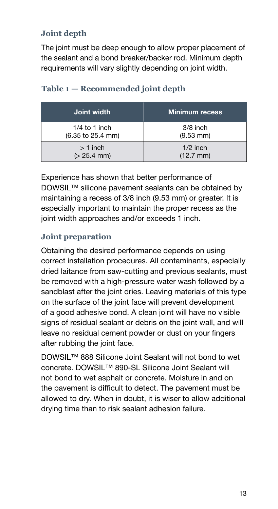#### **Joint depth**

The joint must be deep enough to allow proper placement of the sealant and a bond breaker/backer rod. Minimum depth requirements will vary slightly depending on joint width.

| Joint width       | Minimum recess        |
|-------------------|-----------------------|
| $1/4$ to 1 inch   | $3/8$ inch            |
| (6.35 to 25.4 mm) | $(9.53 \, \text{mm})$ |
| $>1$ inch         | $1/2$ inch            |
| $(> 25.4$ mm)     | $(12.7 \, \text{mm})$ |

#### **Table 1 — Recommended joint depth**

Experience has shown that better performance of DOWSIL™ silicone pavement sealants can be obtained by maintaining a recess of 3/8 inch (9.53 mm) or greater. It is especially important to maintain the proper recess as the joint width approaches and/or exceeds 1 inch.

#### **Joint preparation**

Obtaining the desired performance depends on using correct installation procedures. All contaminants, especially dried laitance from saw-cutting and previous sealants, must be removed with a high-pressure water wash followed by a sandblast after the joint dries. Leaving materials of this type on the surface of the joint face will prevent development of a good adhesive bond. A clean joint will have no visible signs of residual sealant or debris on the joint wall, and will leave no residual cement powder or dust on your fingers after rubbing the joint face.

DOWSIL™ 888 Silicone Joint Sealant will not bond to wet concrete. DOWSIL™ 890-SL Silicone Joint Sealant will not bond to wet asphalt or concrete. Moisture in and on the pavement is difficult to detect. The pavement must be allowed to dry. When in doubt, it is wiser to allow additional drying time than to risk sealant adhesion failure.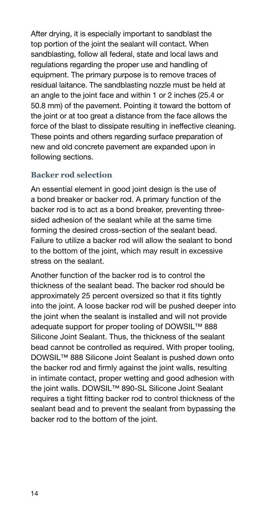After drying, it is especially important to sandblast the top portion of the joint the sealant will contact. When sandblasting, follow all federal, state and local laws and regulations regarding the proper use and handling of equipment. The primary purpose is to remove traces of residual laitance. The sandblasting nozzle must be held at an angle to the joint face and within 1 or 2 inches (25.4 or 50.8 mm) of the pavement. Pointing it toward the bottom of the joint or at too great a distance from the face allows the force of the blast to dissipate resulting in ineffective cleaning. These points and others regarding surface preparation of new and old concrete pavement are expanded upon in following sections.

#### **Backer rod selection**

An essential element in good joint design is the use of a bond breaker or backer rod. A primary function of the backer rod is to act as a bond breaker, preventing threesided adhesion of the sealant while at the same time forming the desired cross-section of the sealant bead. Failure to utilize a backer rod will allow the sealant to bond to the bottom of the joint, which may result in excessive stress on the sealant.

Another function of the backer rod is to control the thickness of the sealant bead. The backer rod should be approximately 25 percent oversized so that it fits tightly into the joint. A loose backer rod will be pushed deeper into the joint when the sealant is installed and will not provide adequate support for proper tooling of DOWSIL™ 888 Silicone Joint Sealant. Thus, the thickness of the sealant bead cannot be controlled as required. With proper tooling, DOWSIL™ 888 Silicone Joint Sealant is pushed down onto the backer rod and firmly against the joint walls, resulting in intimate contact, proper wetting and good adhesion with the joint walls. DOWSIL™ 890-SL Silicone Joint Sealant requires a tight fitting backer rod to control thickness of the sealant bead and to prevent the sealant from bypassing the backer rod to the bottom of the joint.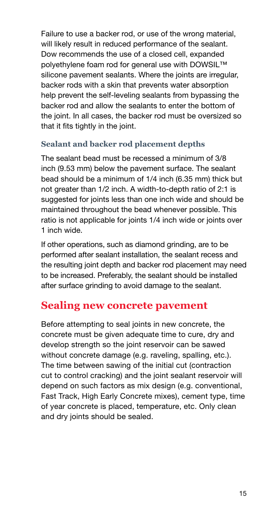Failure to use a backer rod, or use of the wrong material, will likely result in reduced performance of the sealant. Dow recommends the use of a closed cell, expanded polyethylene foam rod for general use with DOWSIL™ silicone pavement sealants. Where the joints are irregular, backer rods with a skin that prevents water absorption help prevent the self-leveling sealants from bypassing the backer rod and allow the sealants to enter the bottom of the joint. In all cases, the backer rod must be oversized so that it fits tightly in the joint.

#### **Sealant and backer rod placement depths**

The sealant bead must be recessed a minimum of 3/8 inch (9.53 mm) below the pavement surface. The sealant bead should be a minimum of 1/4 inch (6.35 mm) thick but not greater than 1/2 inch. A width-to-depth ratio of 2:1 is suggested for joints less than one inch wide and should be maintained throughout the bead whenever possible. This ratio is not applicable for joints 1/4 inch wide or joints over 1 inch wide.

If other operations, such as diamond grinding, are to be performed after sealant installation, the sealant recess and the resulting joint depth and backer rod placement may need to be increased. Preferably, the sealant should be installed after surface grinding to avoid damage to the sealant.

#### **Sealing new concrete pavement**

Before attempting to seal joints in new concrete, the concrete must be given adequate time to cure, dry and develop strength so the joint reservoir can be sawed without concrete damage (e.g. raveling, spalling, etc.). The time between sawing of the initial cut (contraction cut to control cracking) and the joint sealant reservoir will depend on such factors as mix design (e.g. conventional, Fast Track, High Early Concrete mixes), cement type, time of year concrete is placed, temperature, etc. Only clean and dry joints should be sealed.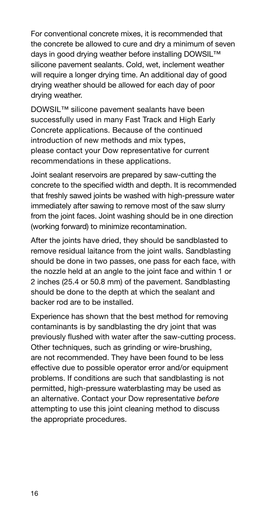For conventional concrete mixes, it is recommended that the concrete be allowed to cure and dry a minimum of seven days in good drying weather before installing DOWSIL™ silicone pavement sealants. Cold, wet, inclement weather will require a longer drying time. An additional day of good drying weather should be allowed for each day of poor drying weather.

DOWSIL™ silicone pavement sealants have been successfully used in many Fast Track and High Early Concrete applications. Because of the continued introduction of new methods and mix types, please contact your Dow representative for current recommendations in these applications.

Joint sealant reservoirs are prepared by saw-cutting the concrete to the specified width and depth. It is recommended that freshly sawed joints be washed with high-pressure water immediately after sawing to remove most of the saw slurry from the joint faces. Joint washing should be in one direction (working forward) to minimize recontamination.

After the joints have dried, they should be sandblasted to remove residual laitance from the joint walls. Sandblasting should be done in two passes, one pass for each face, with the nozzle held at an angle to the joint face and within 1 or 2 inches (25.4 or 50.8 mm) of the pavement. Sandblasting should be done to the depth at which the sealant and backer rod are to be installed.

Experience has shown that the best method for removing contaminants is by sandblasting the dry joint that was previously flushed with water after the saw-cutting process. Other techniques, such as grinding or wire-brushing, are not recommended. They have been found to be less effective due to possible operator error and/or equipment problems. If conditions are such that sandblasting is not permitted, high-pressure waterblasting may be used as an alternative. Contact your Dow representative *before* attempting to use this joint cleaning method to discuss the appropriate procedures.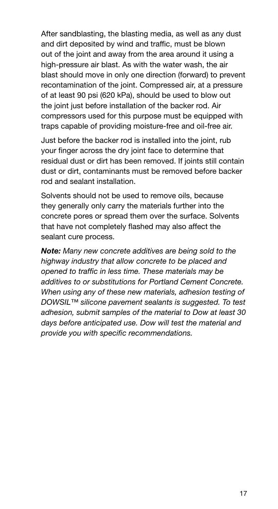After sandblasting, the blasting media, as well as any dust and dirt deposited by wind and traffic, must be blown out of the joint and away from the area around it using a high-pressure air blast. As with the water wash, the air blast should move in only one direction (forward) to prevent recontamination of the joint. Compressed air, at a pressure of at least 90 psi (620 kPa), should be used to blow out the joint just before installation of the backer rod. Air compressors used for this purpose must be equipped with traps capable of providing moisture-free and oil-free air.

Just before the backer rod is installed into the joint, rub your finger across the dry joint face to determine that residual dust or dirt has been removed. If joints still contain dust or dirt, contaminants must be removed before backer rod and sealant installation.

Solvents should not be used to remove oils, because they generally only carry the materials further into the concrete pores or spread them over the surface. Solvents that have not completely flashed may also affect the sealant cure process.

*Note: Many new concrete additives are being sold to the highway industry that allow concrete to be placed and opened to traffic in less time. These materials may be additives to or substitutions for Portland Cement Concrete. When using any of these new materials, adhesion testing of DOWSIL™ silicone pavement sealants is suggested. To test adhesion, submit samples of the material to Dow at least 30 days before anticipated use. Dow will test the material and provide you with specific recommendations.*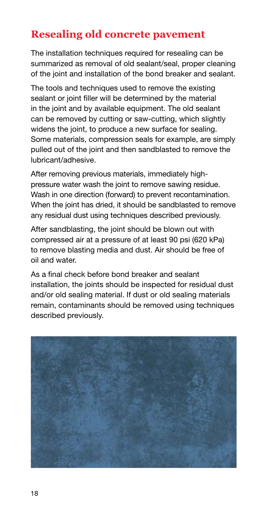### **Resealing old concrete pavement**

The installation techniques required for resealing can be summarized as removal of old sealant/seal, proper cleaning of the joint and installation of the bond breaker and sealant.

The tools and techniques used to remove the existing sealant or joint filler will be determined by the material in the joint and by available equipment. The old sealant can be removed by cutting or saw-cutting, which slightly widens the joint, to produce a new surface for sealing. Some materials, compression seals for example, are simply pulled out of the joint and then sandblasted to remove the lubricant/adhesive.

After removing previous materials, immediately highpressure water wash the joint to remove sawing residue. Wash in one direction (forward) to prevent recontamination. When the joint has dried, it should be sandblasted to remove any residual dust using techniques described previously.

After sandblasting, the joint should be blown out with compressed air at a pressure of at least 90 psi (620 kPa) to remove blasting media and dust. Air should be free of oil and water.

As a final check before bond breaker and sealant installation, the joints should be inspected for residual dust and/or old sealing material. If dust or old sealing materials remain, contaminants should be removed using techniques described previously.

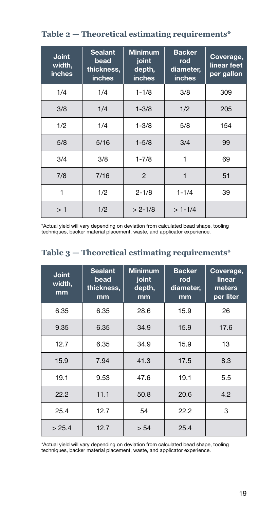| <b>Joint</b><br>width,<br><b>inches</b> | <b>Sealant</b><br>bead<br>thickness,<br><b>inches</b> | <b>Minimum</b><br>joint<br>depth,<br>inches | <b>Backer</b><br>rod<br>diameter,<br><b>inches</b> | Coverage,<br>linear feet<br>per gallon |
|-----------------------------------------|-------------------------------------------------------|---------------------------------------------|----------------------------------------------------|----------------------------------------|
| 1/4                                     | 1/4                                                   | $1 - 1/8$                                   | 3/8                                                | 309                                    |
| 3/8                                     | 1/4                                                   | $1 - 3/8$                                   | 1/2                                                | 205                                    |
| 1/2                                     | 1/4                                                   | $1 - 3/8$                                   | 5/8                                                | 154                                    |
| 5/8                                     | 5/16                                                  | $1 - 5/8$                                   | 3/4                                                | 99                                     |
| 3/4                                     | 3/8                                                   | $1 - 7/8$                                   | 1                                                  | 69                                     |
| 7/8                                     | 7/16                                                  | $\mathcal{P}$                               | 1                                                  | 51                                     |
| 1                                       | 1/2                                                   | $2 - 1/8$                                   | $1 - 1/4$                                          | 39                                     |
| >1                                      | 1/2                                                   | $> 2 - 1/8$                                 | $>1-1/4$                                           |                                        |

**Table 2 — Theoretical estimating requirements\***

\*Actual yield will vary depending on deviation from calculated bead shape, tooling techniques, backer material placement, waste, and applicator experience.

|  | Table $3$ – Theoretical estimating requirements* |
|--|--------------------------------------------------|
|  |                                                  |

| <b>Joint</b><br>width,<br>mm | <b>Sealant</b><br>bead<br>thickness,<br>mm | <b>Minimum</b><br>joint<br>depth,<br>mm | <b>Backer</b><br>rod<br>diameter,<br>mm | Coverage,<br>linear<br>meters<br>per liter |
|------------------------------|--------------------------------------------|-----------------------------------------|-----------------------------------------|--------------------------------------------|
| 6.35                         | 6.35                                       | 28.6                                    | 15.9                                    | 26                                         |
| 9.35                         | 6.35                                       | 34.9                                    | 15.9                                    | 17.6                                       |
| 12.7                         | 6.35                                       | 34.9                                    | 15.9                                    | 13                                         |
| 15.9                         | 7.94                                       | 41.3                                    | 17.5                                    | 8.3                                        |
| 19.1                         | 9.53                                       | 47.6                                    | 19.1                                    | 5.5                                        |
| 22.2                         | 11.1                                       | 50.8                                    | 20.6                                    | 4.2                                        |
| 25.4                         | 12.7                                       | 54                                      | 22.2                                    | 3                                          |
| > 25.4                       | 12.7                                       | > 54                                    | 25.4                                    |                                            |

\*Actual yield will vary depending on deviation from calculated bead shape, tooling techniques, backer material placement, waste, and applicator experience.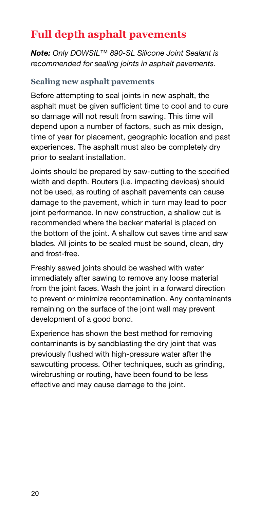### **Full depth asphalt pavements**

*Note: Only DOWSIL™ 890-SL Silicone Joint Sealant is recommended for sealing joints in asphalt pavements.*

#### **Sealing new asphalt pavements**

Before attempting to seal joints in new asphalt, the asphalt must be given sufficient time to cool and to cure so damage will not result from sawing. This time will depend upon a number of factors, such as mix design, time of year for placement, geographic location and past experiences. The asphalt must also be completely dry prior to sealant installation.

Joints should be prepared by saw-cutting to the specified width and depth. Routers (i.e. impacting devices) should not be used, as routing of asphalt pavements can cause damage to the pavement, which in turn may lead to poor joint performance. In new construction, a shallow cut is recommended where the backer material is placed on the bottom of the joint. A shallow cut saves time and saw blades. All joints to be sealed must be sound, clean, dry and frost-free.

Freshly sawed joints should be washed with water immediately after sawing to remove any loose material from the joint faces. Wash the joint in a forward direction to prevent or minimize recontamination. Any contaminants remaining on the surface of the joint wall may prevent development of a good bond.

Experience has shown the best method for removing contaminants is by sandblasting the dry joint that was previously flushed with high-pressure water after the sawcutting process. Other techniques, such as grinding, wirebrushing or routing, have been found to be less effective and may cause damage to the joint.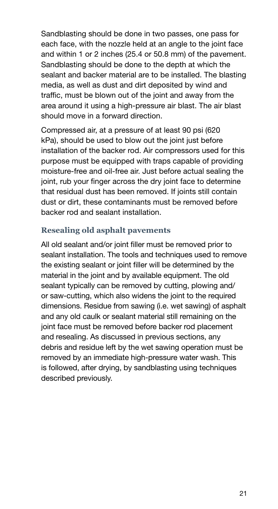Sandblasting should be done in two passes, one pass for each face, with the nozzle held at an angle to the joint face and within 1 or 2 inches (25.4 or 50.8 mm) of the pavement. Sandblasting should be done to the depth at which the sealant and backer material are to be installed. The blasting media, as well as dust and dirt deposited by wind and traffic, must be blown out of the joint and away from the area around it using a high-pressure air blast. The air blast should move in a forward direction.

Compressed air, at a pressure of at least 90 psi (620 kPa), should be used to blow out the joint just before installation of the backer rod. Air compressors used for this purpose must be equipped with traps capable of providing moisture-free and oil-free air. Just before actual sealing the joint, rub your finger across the dry joint face to determine that residual dust has been removed. If joints still contain dust or dirt, these contaminants must be removed before backer rod and sealant installation.

#### **Resealing old asphalt pavements**

All old sealant and/or joint filler must be removed prior to sealant installation. The tools and techniques used to remove the existing sealant or joint filler will be determined by the material in the joint and by available equipment. The old sealant typically can be removed by cutting, plowing and/ or saw-cutting, which also widens the joint to the required dimensions. Residue from sawing (i.e. wet sawing) of asphalt and any old caulk or sealant material still remaining on the joint face must be removed before backer rod placement and resealing. As discussed in previous sections, any debris and residue left by the wet sawing operation must be removed by an immediate high-pressure water wash. This is followed, after drying, by sandblasting using techniques described previously.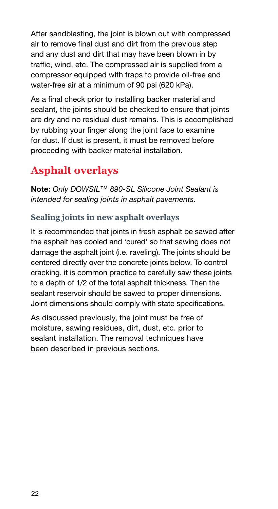After sandblasting, the joint is blown out with compressed air to remove final dust and dirt from the previous step and any dust and dirt that may have been blown in by traffic, wind, etc. The compressed air is supplied from a compressor equipped with traps to provide oil-free and water-free air at a minimum of 90 psi (620 kPa).

As a final check prior to installing backer material and sealant, the joints should be checked to ensure that joints are dry and no residual dust remains. This is accomplished by rubbing your finger along the joint face to examine for dust. If dust is present, it must be removed before proceeding with backer material installation.

### **Asphalt overlays**

Note: *Only DOWSIL™ 890-SL Silicone Joint Sealant is intended for sealing joints in asphalt pavements.*

#### **Sealing joints in new asphalt overlays**

It is recommended that joints in fresh asphalt be sawed after the asphalt has cooled and 'cured' so that sawing does not damage the asphalt joint (i.e. raveling). The joints should be centered directly over the concrete joints below. To control cracking, it is common practice to carefully saw these joints to a depth of 1/2 of the total asphalt thickness. Then the sealant reservoir should be sawed to proper dimensions. Joint dimensions should comply with state specifications.

As discussed previously, the joint must be free of moisture, sawing residues, dirt, dust, etc. prior to sealant installation. The removal techniques have been described in previous sections.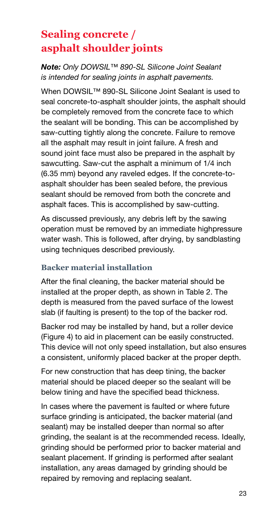### **Sealing concrete / asphalt shoulder joints**

#### *Note: Only DOWSIL™ 890-SL Silicone Joint Sealant is intended for sealing joints in asphalt pavements.*

When DOWSIL<sup>™</sup> 890-SL Silicone Joint Sealant is used to seal concrete-to-asphalt shoulder joints, the asphalt should be completely removed from the concrete face to which the sealant will be bonding. This can be accomplished by saw-cutting tightly along the concrete. Failure to remove all the asphalt may result in joint failure. A fresh and sound joint face must also be prepared in the asphalt by sawcutting. Saw-cut the asphalt a minimum of 1/4 inch (6.35 mm) beyond any raveled edges. If the concrete-toasphalt shoulder has been sealed before, the previous sealant should be removed from both the concrete and asphalt faces. This is accomplished by saw-cutting.

As discussed previously, any debris left by the sawing operation must be removed by an immediate highpressure water wash. This is followed, after drying, by sandblasting using techniques described previously.

#### **Backer material installation**

After the final cleaning, the backer material should be installed at the proper depth, as shown in Table 2. The depth is measured from the paved surface of the lowest slab (if faulting is present) to the top of the backer rod.

Backer rod may be installed by hand, but a roller device (Figure 4) to aid in placement can be easily constructed. This device will not only speed installation, but also ensures a consistent, uniformly placed backer at the proper depth.

For new construction that has deep tining, the backer material should be placed deeper so the sealant will be below tining and have the specified bead thickness.

In cases where the pavement is faulted or where future surface grinding is anticipated, the backer material (and sealant) may be installed deeper than normal so after grinding, the sealant is at the recommended recess. Ideally, grinding should be performed prior to backer material and sealant placement. If grinding is performed after sealant installation, any areas damaged by grinding should be repaired by removing and replacing sealant.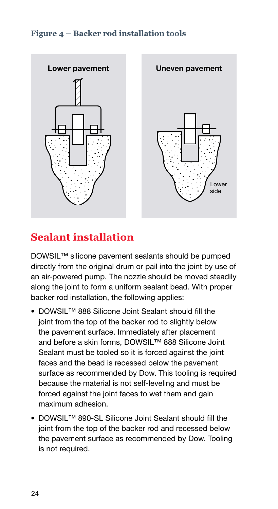#### **Figure 4 – Backer rod installation tools**



### **Sealant installation**

DOWSIL™ silicone pavement sealants should be pumped directly from the original drum or pail into the joint by use of an air-powered pump. The nozzle should be moved steadily along the joint to form a uniform sealant bead. With proper backer rod installation, the following applies:

- DOWSIL™ 888 Silicone Joint Sealant should fill the joint from the top of the backer rod to slightly below the pavement surface. Immediately after placement and before a skin forms, DOWSIL™ 888 Silicone Joint Sealant must be tooled so it is forced against the joint faces and the bead is recessed below the pavement surface as recommended by Dow. This tooling is required because the material is not self-leveling and must be forced against the joint faces to wet them and gain maximum adhesion.
- DOWSIL™ 890-SL Silicone Joint Sealant should fill the joint from the top of the backer rod and recessed below the pavement surface as recommended by Dow. Tooling is not required.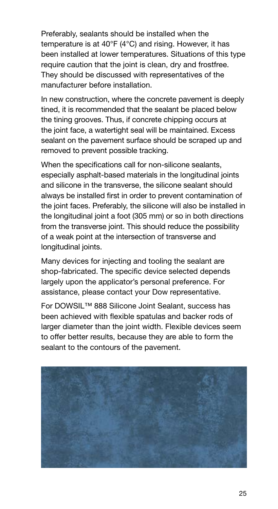Preferably, sealants should be installed when the temperature is at 40°F (4°C) and rising. However, it has been installed at lower temperatures. Situations of this type require caution that the joint is clean, dry and frostfree. They should be discussed with representatives of the manufacturer before installation.

In new construction, where the concrete pavement is deeply tined, it is recommended that the sealant be placed below the tining grooves. Thus, if concrete chipping occurs at the joint face, a watertight seal will be maintained. Excess sealant on the pavement surface should be scraped up and removed to prevent possible tracking.

When the specifications call for non-silicone sealants, especially asphalt-based materials in the longitudinal joints and silicone in the transverse, the silicone sealant should always be installed first in order to prevent contamination of the joint faces. Preferably, the silicone will also be installed in the longitudinal joint a foot (305 mm) or so in both directions from the transverse joint. This should reduce the possibility of a weak point at the intersection of transverse and longitudinal joints.

Many devices for injecting and tooling the sealant are shop-fabricated. The specific device selected depends largely upon the applicator's personal preference. For assistance, please contact your Dow representative.

For DOWSIL™ 888 Silicone Joint Sealant, success has been achieved with flexible spatulas and backer rods of larger diameter than the joint width. Flexible devices seem to offer better results, because they are able to form the sealant to the contours of the pavement.

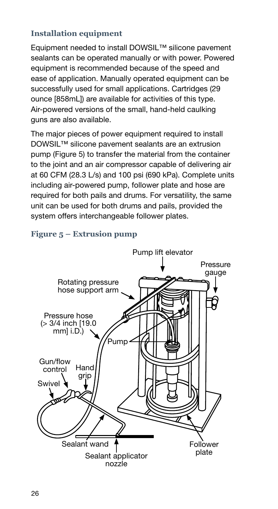#### **Installation equipment**

Equipment needed to install DOWSIL™ silicone pavement sealants can be operated manually or with power. Powered equipment is recommended because of the speed and ease of application. Manually operated equipment can be successfully used for small applications. Cartridges (29 ounce [858mL]) are available for activities of this type. Air-powered versions of the small, hand-held caulking guns are also available.

The major pieces of power equipment required to install DOWSIL™ silicone pavement sealants are an extrusion pump (Figure 5) to transfer the material from the container to the joint and an air compressor capable of delivering air at 60 CFM (28.3 L/s) and 100 psi (690 kPa). Complete units including air-powered pump, follower plate and hose are required for both pails and drums. For versatility, the same unit can be used for both drums and pails, provided the system offers interchangeable follower plates.



#### **Figure 5 – Extrusion pump**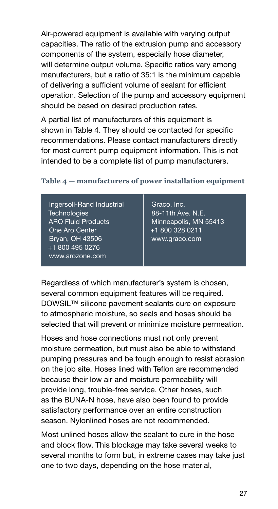Air-powered equipment is available with varying output capacities. The ratio of the extrusion pump and accessory components of the system, especially hose diameter, will determine output volume. Specific ratios vary among manufacturers, but a ratio of 35:1 is the minimum capable of delivering a sufficient volume of sealant for efficient operation. Selection of the pump and accessory equipment should be based on desired production rates.

A partial list of manufacturers of this equipment is shown in Table 4. They should be contacted for specific recommendations. Please contact manufacturers directly for most current pump equipment information. This is not intended to be a complete list of pump manufacturers.

#### **Table 4 — manufacturers of power installation equipment**

| Graco, Inc.<br>88-11th Ave. N.E.<br>Minneapolis, MN 55413<br>+1 800 328 0211<br>www.graco.com |
|-----------------------------------------------------------------------------------------------|
|                                                                                               |
|                                                                                               |

Regardless of which manufacturer's system is chosen, several common equipment features will be required. DOWSIL™ silicone pavement sealants cure on exposure to atmospheric moisture, so seals and hoses should be selected that will prevent or minimize moisture permeation.

Hoses and hose connections must not only prevent moisture permeation, but must also be able to withstand pumping pressures and be tough enough to resist abrasion on the job site. Hoses lined with Teflon are recommended because their low air and moisture permeability will provide long, trouble-free service. Other hoses, such as the BUNA-N hose, have also been found to provide satisfactory performance over an entire construction season. Nylonlined hoses are not recommended.

Most unlined hoses allow the sealant to cure in the hose and block flow. This blockage may take several weeks to several months to form but, in extreme cases may take just one to two days, depending on the hose material,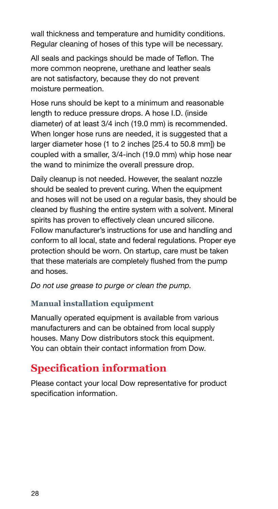wall thickness and temperature and humidity conditions. Regular cleaning of hoses of this type will be necessary.

All seals and packings should be made of Teflon. The more common neoprene, urethane and leather seals are not satisfactory, because they do not prevent moisture permeation.

Hose runs should be kept to a minimum and reasonable length to reduce pressure drops. A hose I.D. (inside diameter) of at least 3/4 inch (19.0 mm) is recommended. When longer hose runs are needed, it is suggested that a larger diameter hose (1 to 2 inches [25.4 to 50.8 mm]) be coupled with a smaller, 3/4-inch (19.0 mm) whip hose near the wand to minimize the overall pressure drop.

Daily cleanup is not needed. However, the sealant nozzle should be sealed to prevent curing. When the equipment and hoses will not be used on a regular basis, they should be cleaned by flushing the entire system with a solvent. Mineral spirits has proven to effectively clean uncured silicone. Follow manufacturer's instructions for use and handling and conform to all local, state and federal regulations. Proper eye protection should be worn. On startup, care must be taken that these materials are completely flushed from the pump and hoses.

*Do not use grease to purge or clean the pump.*

#### **Manual installation equipment**

Manually operated equipment is available from various manufacturers and can be obtained from local supply houses. Many Dow distributors stock this equipment. You can obtain their contact information from Dow.

### **Specification information**

Please contact your local Dow representative for product specification information.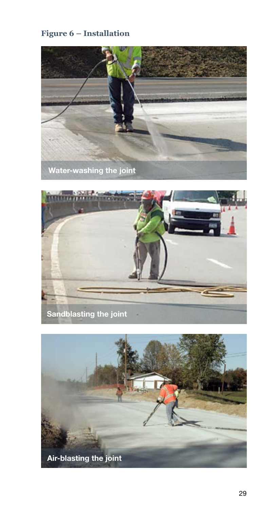#### **Figure 6 – Installation**





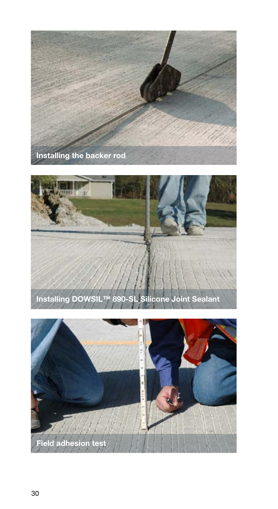



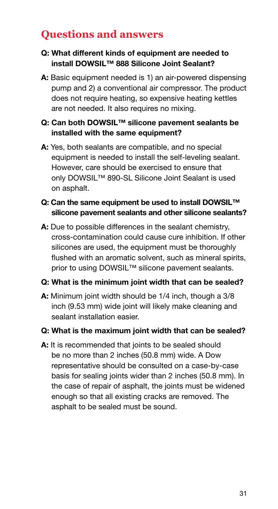### **Questions and answers**

#### Q: What different kinds of equipment are needed to install DOWSIL™ 888 Silicone Joint Sealant?

A: Basic equipment needed is 1) an air-powered dispensing pump and 2) a conventional air compressor. The product does not require heating, so expensive heating kettles are not needed. It also requires no mixing.

#### Q: Can both DOWSIL™ silicone pavement sealants be installed with the same equipment?

A: Yes, both sealants are compatible, and no special equipment is needed to install the self-leveling sealant. However, care should be exercised to ensure that only DOWSIL™ 890-SL Silicone Joint Sealant is used on asphalt.

#### Q: Can the same equipment be used to install DOWSIL™ silicone pavement sealants and other silicone sealants?

A: Due to possible differences in the sealant chemistry, cross-contamination could cause cure inhibition. If other silicones are used, the equipment must be thoroughly flushed with an aromatic solvent, such as mineral spirits, prior to using DOWSIL<sup>™</sup> silicone pavement sealants.

#### Q: What is the minimum joint width that can be sealed?

A: Minimum joint width should be 1/4 inch, though a 3/8 inch (9.53 mm) wide joint will likely make cleaning and sealant installation easier.

#### Q: What is the maximum joint width that can be sealed?

A: It is recommended that joints to be sealed should be no more than 2 inches (50.8 mm) wide. A Dow representative should be consulted on a case-by-case basis for sealing joints wider than 2 inches (50.8 mm). In the case of repair of asphalt, the joints must be widened enough so that all existing cracks are removed. The asphalt to be sealed must be sound.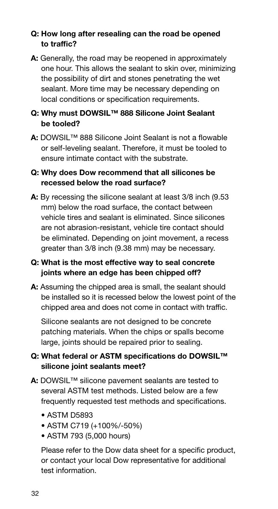#### Q: How long after resealing can the road be opened to traffic?

A: Generally, the road may be reopened in approximately one hour. This allows the sealant to skin over, minimizing the possibility of dirt and stones penetrating the wet sealant. More time may be necessary depending on local conditions or specification requirements.

#### Q: Why must DOWSIL™ 888 Silicone Joint Sealant be tooled?

A: DOWSIL<sup>™</sup> 888 Silicone Joint Sealant is not a flowable or self-leveling sealant. Therefore, it must be tooled to ensure intimate contact with the substrate.

#### Q: Why does Dow recommend that all silicones be recessed below the road surface?

A: By recessing the silicone sealant at least 3/8 inch (9.53) mm) below the road surface, the contact between vehicle tires and sealant is eliminated. Since silicones are not abrasion-resistant, vehicle tire contact should be eliminated. Depending on joint movement, a recess greater than 3/8 inch (9.38 mm) may be necessary.

#### Q: What is the most effective way to seal concrete joints where an edge has been chipped off?

A: Assuming the chipped area is small, the sealant should be installed so it is recessed below the lowest point of the chipped area and does not come in contact with traffic.

Silicone sealants are not designed to be concrete patching materials. When the chips or spalls become large, joints should be repaired prior to sealing.

#### Q: What federal or ASTM specifications do DOWSIL™ silicone joint sealants meet?

- A: DOWSIL<sup>™</sup> silicone pavement sealants are tested to several ASTM test methods. Listed below are a few frequently requested test methods and specifications.
	- ASTM D5893
	- ASTM C719 (+100%/-50%)
	- ASTM 793 (5,000 hours)

Please refer to the Dow data sheet for a specific product, or contact your local Dow representative for additional test information.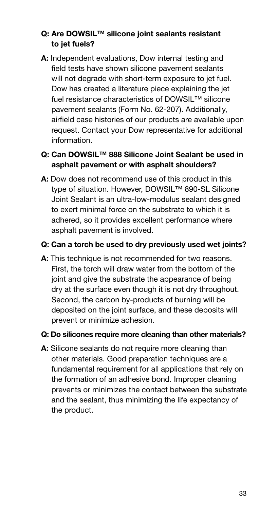#### Q: Are DOWSIL™ silicone joint sealants resistant to jet fuels?

A: Independent evaluations, Dow internal testing and field tests have shown silicone pavement sealants will not degrade with short-term exposure to jet fuel. Dow has created a literature piece explaining the jet fuel resistance characteristics of DOWSIL™ silicone pavement sealants (Form No. 62-207). Additionally, airfield case histories of our products are available upon request. Contact your Dow representative for additional information.

#### Q: Can DOWSIL™ 888 Silicone Joint Sealant be used in asphalt pavement or with asphalt shoulders?

A: Dow does not recommend use of this product in this type of situation. However, DOWSIL™ 890-SL Silicone Joint Sealant is an ultra-low-modulus sealant designed to exert minimal force on the substrate to which it is adhered, so it provides excellent performance where asphalt pavement is involved.

#### Q: Can a torch be used to dry previously used wet joints?

A: This technique is not recommended for two reasons. First, the torch will draw water from the bottom of the joint and give the substrate the appearance of being dry at the surface even though it is not dry throughout. Second, the carbon by-products of burning will be deposited on the joint surface, and these deposits will prevent or minimize adhesion.

#### Q: Do silicones require more cleaning than other materials?

A: Silicone sealants do not require more cleaning than other materials. Good preparation techniques are a fundamental requirement for all applications that rely on the formation of an adhesive bond. Improper cleaning prevents or minimizes the contact between the substrate and the sealant, thus minimizing the life expectancy of the product.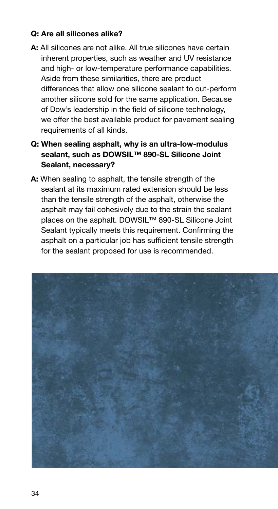#### Q: Are all silicones alike?

- A: All silicones are not alike. All true silicones have certain inherent properties, such as weather and UV resistance and high- or low-temperature performance capabilities. Aside from these similarities, there are product differences that allow one silicone sealant to out-perform another silicone sold for the same application. Because of Dow's leadership in the field of silicone technology, we offer the best available product for pavement sealing requirements of all kinds.
- Q: When sealing asphalt, why is an ultra-low-modulus sealant, such as DOWSIL™ 890-SL Silicone Joint Sealant, necessary?
- A: When sealing to asphalt, the tensile strength of the sealant at its maximum rated extension should be less than the tensile strength of the asphalt, otherwise the asphalt may fail cohesively due to the strain the sealant places on the asphalt. DOWSIL™ 890-SL Silicone Joint Sealant typically meets this requirement. Confirming the asphalt on a particular job has sufficient tensile strength for the sealant proposed for use is recommended.

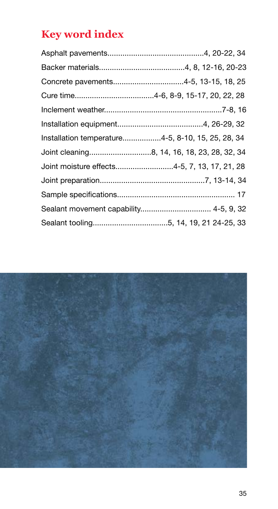## **Key word index**

| Concrete pavements4-5, 13-15, 18, 25              |  |
|---------------------------------------------------|--|
|                                                   |  |
|                                                   |  |
|                                                   |  |
| Installation temperature4-5, 8-10, 15, 25, 28, 34 |  |
|                                                   |  |
| Joint moisture effects4-5, 7, 13, 17, 21, 28      |  |
|                                                   |  |
|                                                   |  |
|                                                   |  |
|                                                   |  |